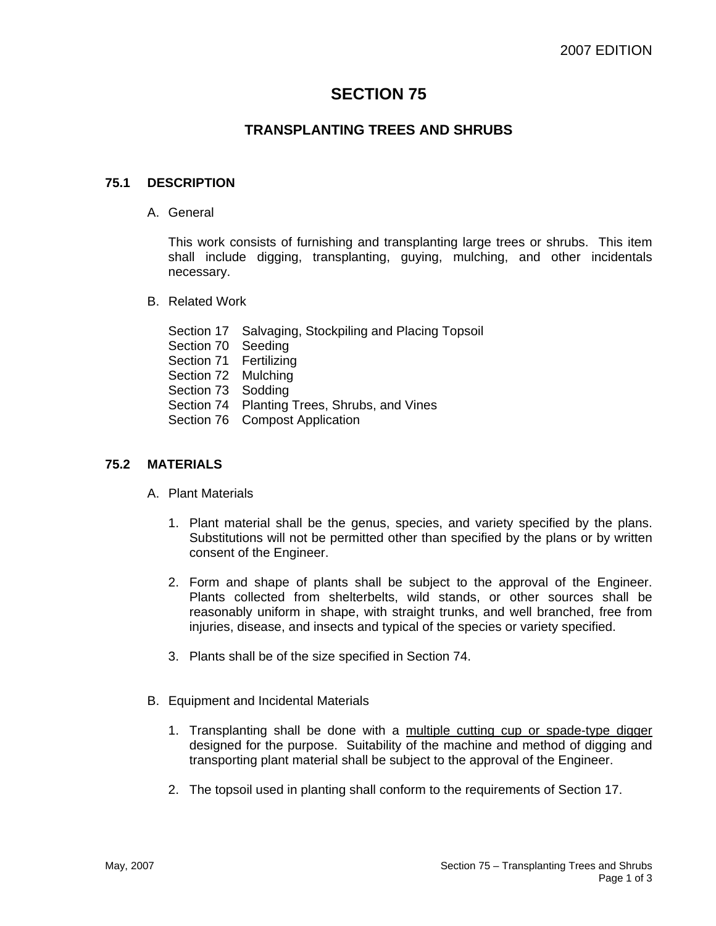# **SECTION 75**

# **TRANSPLANTING TREES AND SHRUBS**

## **75.1 DESCRIPTION**

A. General

This work consists of furnishing and transplanting large trees or shrubs. This item shall include digging, transplanting, guying, mulching, and other incidentals necessary.

- B. Related Work
	- Section 17 Salvaging, Stockpiling and Placing Topsoil
	- Section 70 Seeding
	- Section 71 Fertilizing
	- Section 72 Mulching
	- Section 73 Sodding
	- Section 74 Planting Trees, Shrubs, and Vines
	- Section 76 Compost Application

### **75.2 MATERIALS**

- A. Plant Materials
	- 1. Plant material shall be the genus, species, and variety specified by the plans. Substitutions will not be permitted other than specified by the plans or by written consent of the Engineer.
	- 2. Form and shape of plants shall be subject to the approval of the Engineer. Plants collected from shelterbelts, wild stands, or other sources shall be reasonably uniform in shape, with straight trunks, and well branched, free from injuries, disease, and insects and typical of the species or variety specified.
	- 3. Plants shall be of the size specified in Section 74.
- B. Equipment and Incidental Materials
	- 1. Transplanting shall be done with a multiple cutting cup or spade-type digger designed for the purpose. Suitability of the machine and method of digging and transporting plant material shall be subject to the approval of the Engineer.
	- 2. The topsoil used in planting shall conform to the requirements of Section 17.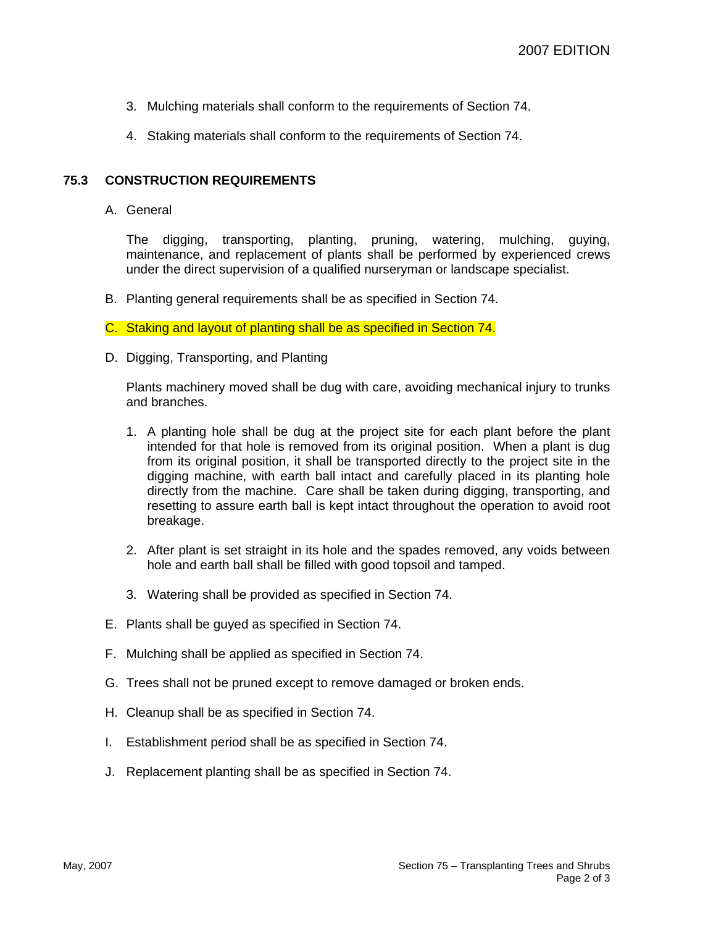- 3. Mulching materials shall conform to the requirements of Section 74.
- 4. Staking materials shall conform to the requirements of Section 74.

#### **75.3 CONSTRUCTION REQUIREMENTS**

A. General

The digging, transporting, planting, pruning, watering, mulching, guying, maintenance, and replacement of plants shall be performed by experienced crews under the direct supervision of a qualified nurseryman or landscape specialist.

B. Planting general requirements shall be as specified in Section 74.

C. Staking and layout of planting shall be as specified in Section 74.

D. Digging, Transporting, and Planting

Plants machinery moved shall be dug with care, avoiding mechanical injury to trunks and branches.

- 1. A planting hole shall be dug at the project site for each plant before the plant intended for that hole is removed from its original position. When a plant is dug from its original position, it shall be transported directly to the project site in the digging machine, with earth ball intact and carefully placed in its planting hole directly from the machine. Care shall be taken during digging, transporting, and resetting to assure earth ball is kept intact throughout the operation to avoid root breakage.
- 2. After plant is set straight in its hole and the spades removed, any voids between hole and earth ball shall be filled with good topsoil and tamped.
- 3. Watering shall be provided as specified in Section 74.
- E. Plants shall be guyed as specified in Section 74.
- F. Mulching shall be applied as specified in Section 74.
- G. Trees shall not be pruned except to remove damaged or broken ends.
- H. Cleanup shall be as specified in Section 74.
- I. Establishment period shall be as specified in Section 74.
- J. Replacement planting shall be as specified in Section 74.